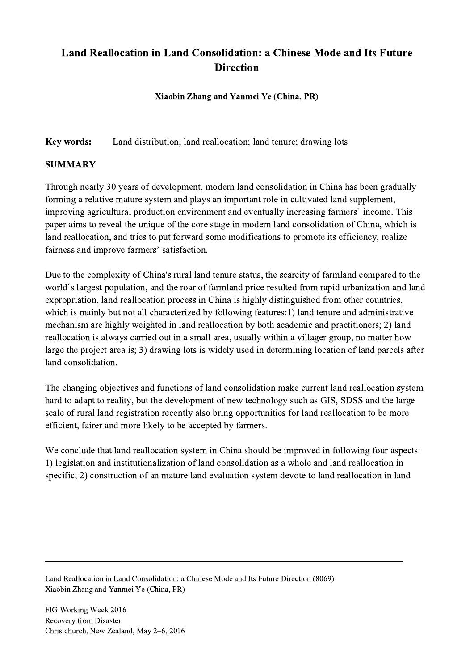## Land Reallocation in Land Consolidation: a Chinese Mode and Its Future **Direction**

Xiaobin Zhang and Yanmei Ye (China, PR)

Key words: Land distribution; land reallocation; land tenure; drawing lots

## SUMMARY

Through nearly 30 years of development, modern land consolidation in China has been gradually forming a relative mature system and plays an important role in cultivated land supplement, improving agricultural production environment and eventually increasing farmers` income. This paper aims to reveal the unique of the core stage in modern land consolidation of China, which is land reallocation, and tries to put forward some modifications to promote its efficiency, realize fairness and improve farmers' satisfaction.

Due to the complexity of China's rural land tenure status, the scarcity of farmland compared to the world`s largest population, and the roar of farmland price resulted from rapid urbanization and land expropriation, land reallocation process in China is highly distinguished from other countries, which is mainly but not all characterized by following features:1) land tenure and administrative mechanism are highly weighted in land reallocation by both academic and practitioners; 2) land reallocation is always carried out in a small area, usually within a villager group, no matter how large the project area is; 3) drawing lots is widely used in determining location of land parcels after land consolidation.

The changing objectives and functions of land consolidation make current land reallocation system hard to adapt to reality, but the development of new technology such as GIS, SDSS and the large scale of rural land registration recently also bring opportunities for land reallocation to be more efficient, fairer and more likely to be accepted by farmers.

We conclude that land reallocation system in China should be improved in following four aspects: 1) legislation and institutionalization of land consolidation as a whole and land reallocation in specific; 2) construction of an mature land evaluation system devote to land reallocation in land

 $\mathcal{L}_\mathcal{L} = \{ \mathcal{L}_\mathcal{L} = \{ \mathcal{L}_\mathcal{L} = \{ \mathcal{L}_\mathcal{L} = \{ \mathcal{L}_\mathcal{L} = \{ \mathcal{L}_\mathcal{L} = \{ \mathcal{L}_\mathcal{L} = \{ \mathcal{L}_\mathcal{L} = \{ \mathcal{L}_\mathcal{L} = \{ \mathcal{L}_\mathcal{L} = \{ \mathcal{L}_\mathcal{L} = \{ \mathcal{L}_\mathcal{L} = \{ \mathcal{L}_\mathcal{L} = \{ \mathcal{L}_\mathcal{L} = \{ \mathcal{L}_\mathcal{$ 

Land Reallocation in Land Consolidation: a Chinese Mode and Its Future Direction (8069) Xiaobin Zhang and Yanmei Ye (China, PR)

FIG Working Week 2016 Recovery from Disaster Christchurch, New Zealand, May 2–6, 2016